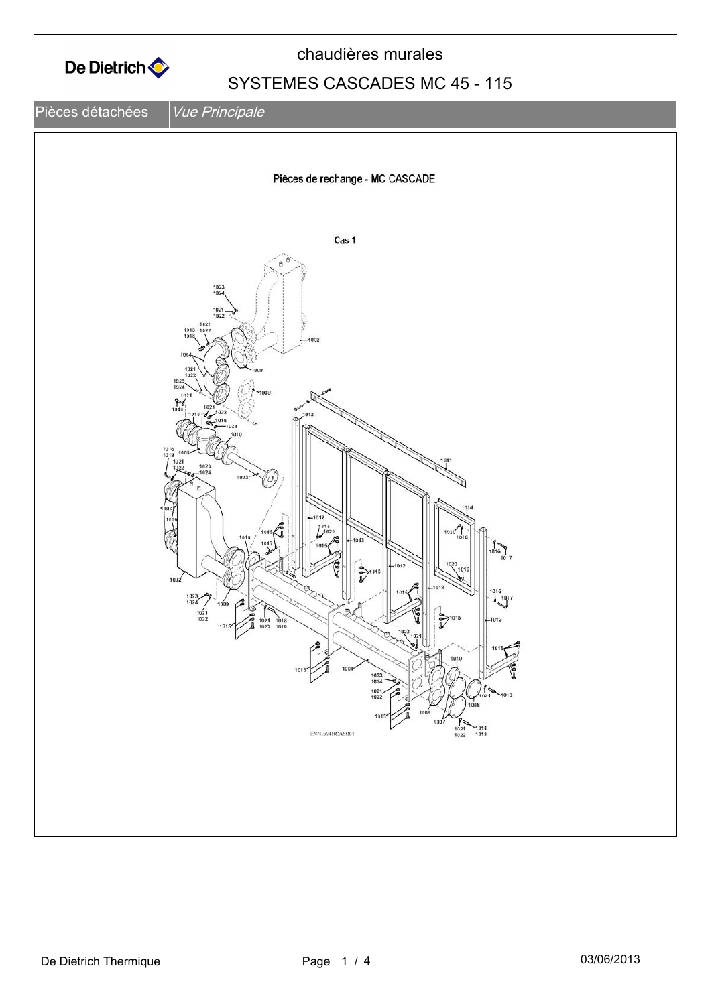

chaudières murales

## SYSTEMES CASCADES MC 45 - 115

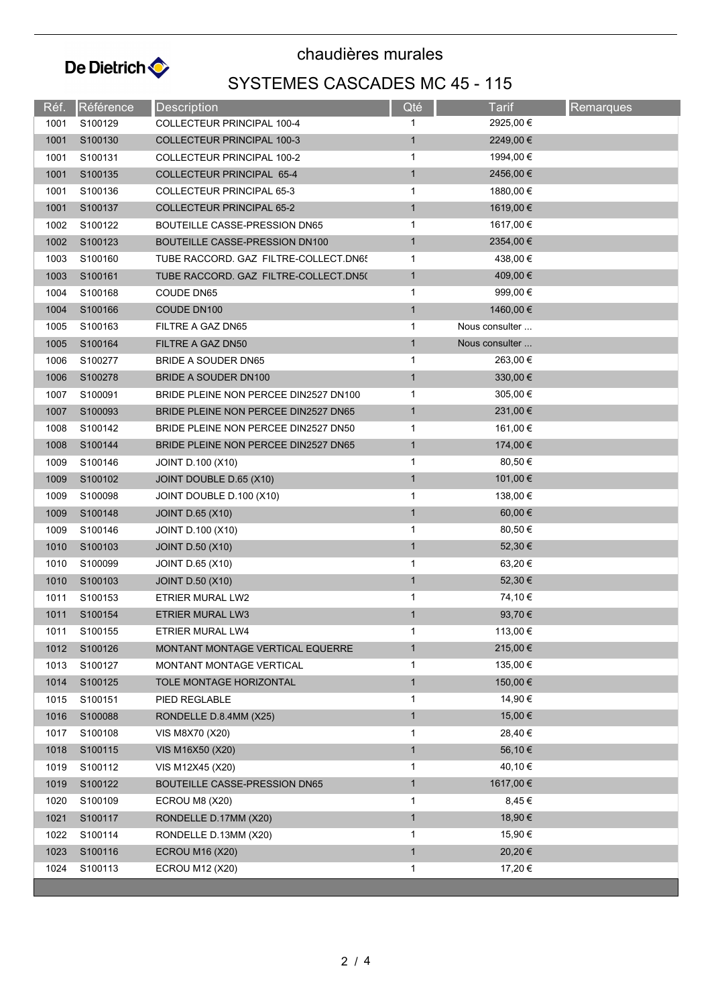

chaudières murales

## SYSTEMES CASCADES MC 45 - 115

| Réf. | Référence           | <b>Description</b>                    | Qté          | Tarif          | Remarques |
|------|---------------------|---------------------------------------|--------------|----------------|-----------|
| 1001 | S100129             | COLLECTEUR PRINCIPAL 100-4            | 1            | 2925,00 €      |           |
| 1001 | S100130             | <b>COLLECTEUR PRINCIPAL 100-3</b>     | $\mathbf{1}$ | 2249,00 €      |           |
| 1001 | S100131             | <b>COLLECTEUR PRINCIPAL 100-2</b>     | 1            | 1994,00 €      |           |
| 1001 | S100135             | COLLECTEUR PRINCIPAL 65-4             | $\mathbf{1}$ | 2456,00€       |           |
| 1001 | S100136             | COLLECTEUR PRINCIPAL 65-3             | 1            | 1880,00 €      |           |
| 1001 | S100137             | <b>COLLECTEUR PRINCIPAL 65-2</b>      | $\mathbf{1}$ | 1619,00 €      |           |
| 1002 | S100122             | BOUTEILLE CASSE-PRESSION DN65         | 1            | 1617,00 €      |           |
| 1002 | S100123             | BOUTEILLE CASSE-PRESSION DN100        | $\mathbf{1}$ | 2354,00 €      |           |
| 1003 | S100160             | TUBE RACCORD. GAZ FILTRE-COLLECT.DN6! | 1            | 438,00 €       |           |
| 1003 | S100161             | TUBE RACCORD. GAZ FILTRE-COLLECT.DN5( | $\mathbf{1}$ | 409,00 €       |           |
| 1004 | S100168             | COUDE DN65                            | 1            | 999,00 €       |           |
| 1004 | S100166             | COUDE DN100                           | $\mathbf{1}$ | 1460,00 €      |           |
| 1005 | S100163             | FILTRE A GAZ DN65                     | 1            | Nous consulter |           |
| 1005 | S100164             | FILTRE A GAZ DN50                     | $\mathbf{1}$ | Nous consulter |           |
| 1006 | S100277             | BRIDE A SOUDER DN65                   | 1            | 263,00 €       |           |
| 1006 | S100278             | BRIDE A SOUDER DN100                  | $\mathbf{1}$ | 330,00 €       |           |
| 1007 | S100091             | BRIDE PLEINE NON PERCEE DIN2527 DN100 | $\mathbf{1}$ | 305,00 €       |           |
| 1007 | S100093             | BRIDE PLEINE NON PERCEE DIN2527 DN65  | $\mathbf{1}$ | 231,00 €       |           |
| 1008 | S100142             | BRIDE PLEINE NON PERCEE DIN2527 DN50  | $\mathbf{1}$ | 161,00 €       |           |
| 1008 | S100144             | BRIDE PLEINE NON PERCEE DIN2527 DN65  | $\mathbf{1}$ | 174,00 €       |           |
| 1009 | S100146             | <b>JOINT D.100 (X10)</b>              | $\mathbf{1}$ | 80,50 €        |           |
| 1009 | S100102             | JOINT DOUBLE D.65 (X10)               | $\mathbf{1}$ | 101,00 €       |           |
| 1009 | S100098             | JOINT DOUBLE D.100 (X10)              | 1            | 138,00 €       |           |
| 1009 | S100148             | <b>JOINT D.65 (X10)</b>               | $\mathbf{1}$ | 60,00 €        |           |
| 1009 | S100146             | <b>JOINT D.100 (X10)</b>              | 1            | 80,50 €        |           |
| 1010 | S100103             | <b>JOINT D.50 (X10)</b>               | $\mathbf{1}$ | 52,30 €        |           |
| 1010 | S100099             | <b>JOINT D.65 (X10)</b>               | 1            | 63,20 €        |           |
| 1010 | S100103             | <b>JOINT D.50 (X10)</b>               | $\mathbf{1}$ | 52,30 €        |           |
| 1011 | S100153             | ETRIER MURAL LW2                      | 1            | 74,10 €        |           |
| 1011 | S100154             | <b>ETRIER MURAL LW3</b>               | $\mathbf{1}$ | 93,70 €        |           |
| 1011 | S100155             | ETRIER MURAL LW4                      | 1            | 113,00 €       |           |
| 1012 | S100126             | MONTANT MONTAGE VERTICAL EQUERRE      | $\mathbf{1}$ | 215,00€        |           |
| 1013 | S100127             | MONTANT MONTAGE VERTICAL              | 1            | 135,00 €       |           |
| 1014 | S100125             | TOLE MONTAGE HORIZONTAL               | $\mathbf{1}$ | 150,00€        |           |
| 1015 | S100151             | PIED REGLABLE                         | 1            | 14,90 €        |           |
| 1016 | S100088             | RONDELLE D.8.4MM (X25)                | $\mathbf{1}$ | 15,00 €        |           |
| 1017 | S100108             | VIS M8X70 (X20)                       | 1            | 28,40 €        |           |
| 1018 | S100115             | VIS M16X50 (X20)                      | $\mathbf{1}$ | 56,10 €        |           |
| 1019 | S100112             | VIS M12X45 (X20)                      | 1            | 40,10 €        |           |
| 1019 | S100122             | <b>BOUTEILLE CASSE-PRESSION DN65</b>  | $\mathbf{1}$ | 1617,00 €      |           |
| 1020 | S100109             | ECROU M8 (X20)                        | 1            | 8,45 €         |           |
| 1021 | S100117             | RONDELLE D.17MM (X20)                 | $\mathbf{1}$ | 18,90 €        |           |
| 1022 | S100114             | RONDELLE D.13MM (X20)                 | 1            | 15,90 €        |           |
| 1023 | S100116             | <b>ECROU M16 (X20)</b>                | $\mathbf{1}$ | 20,20€         |           |
| 1024 | S <sub>100113</sub> | <b>ECROU M12 (X20)</b>                | 1            | 17,20 €        |           |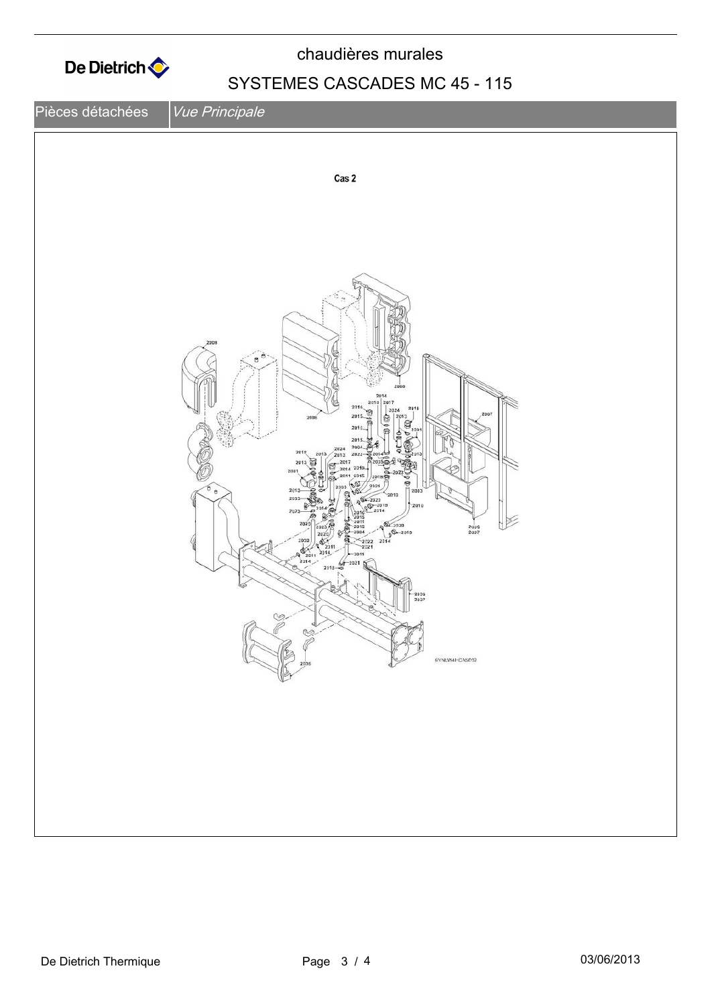